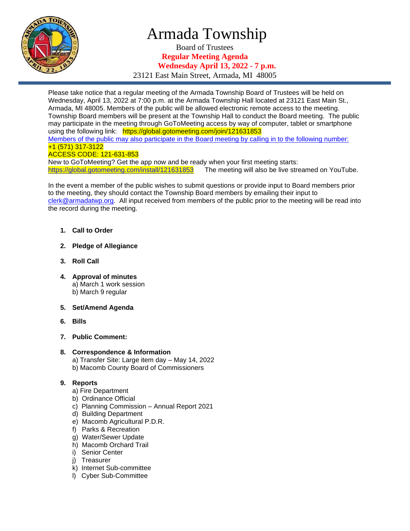

## Armada Township

Board of Trustees **Regular Meeting Agenda Wednesday April 13, 2022 - 7 p.m.**

23121 East Main Street, Armada, MI 48005

Please take notice that a regular meeting of the Armada Township Board of Trustees will be held on Wednesday, April 13, 2022 at 7:00 p.m. at the Armada Township Hall located at 23121 East Main St., Armada, MI 48005. Members of the public will be allowed electronic remote access to the meeting. Township Board members will be present at the Township Hall to conduct the Board meeting. The public may participate in the meeting through GoToMeeting access by way of computer, tablet or smartphone using the following link: https://global.gotomeeting.com/join/121631853 Members of the public may also participate in the Board meeting by calling in to the following number: +1 (571) 317-3122 ACCESS CODE: 121-631-853 New to GoToMeeting? Get the app now and be ready when your first meeting starts:

<https://global.gotomeeting.com/install/121631853>The meeting will also be live streamed on YouTube.

In the event a member of the public wishes to submit questions or provide input to Board members prior to the meeting, they should contact the Township Board members by emailing their input to [clerk@armadatwp.org.](mailto:clerk@armadatwp.org) All input received from members of the public prior to the meeting will be read into the record during the meeting.

- **1. Call to Order**
- **2. Pledge of Allegiance**
- **3. Roll Call**
- **4. Approval of minutes**  a) March 1 work session b) March 9 regular
- **5. Set/Amend Agenda**
- **6. Bills**
- **7. Public Comment:**
- **8. Correspondence & Information**
	- a) Transfer Site: Large item day May 14, 2022
	- b) Macomb County Board of Commissioners

#### **9. Reports**

- a) Fire Department
- b) Ordinance Official
- c) Planning Commission Annual Report 2021
- d) Building Department
- e) Macomb Agricultural P.D.R.
- f) Parks & Recreation
- g) Water/Sewer Update
- h) Macomb Orchard Trail
- i) Senior Center
- j) Treasurer
- k) Internet Sub-committee
- l) Cyber Sub-Committee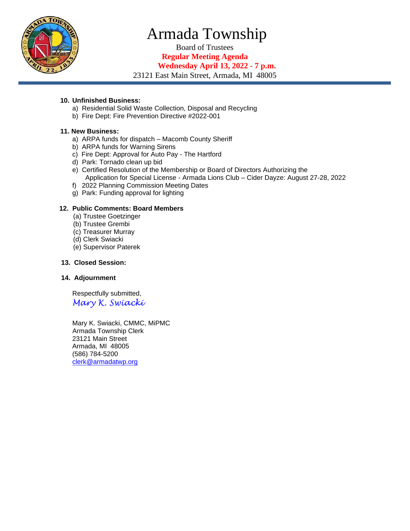

# Armada Township

Board of Trustees

**Regular Meeting Agenda Wednesday April 13, 2022 - 7 p.m.**

23121 East Main Street, Armada, MI 48005

#### **10. Unfinished Business:**

- a) Residential Solid Waste Collection, Disposal and Recycling
- b) Fire Dept: Fire Prevention Directive #2022-001

#### **11. New Business:**

- a) ARPA funds for dispatch Macomb County Sheriff
- b) ARPA funds for Warning Sirens
- c) Fire Dept: Approval for Auto Pay The Hartford
- d) Park: Tornado clean up bid
- e) Certified Resolution of the Membership or Board of Directors Authorizing the Application for Special License - Armada Lions Club – Cider Dayze: August 27-28, 2022
- f) 2022 Planning Commission Meeting Dates
- g) Park: Funding approval for lighting

#### **12. Public Comments: Board Members**

- (a) Trustee Goetzinger
- (b) Trustee Grembi
- (c) Treasurer Murray
- (d) Clerk Swiacki
- (e) Supervisor Paterek

#### **13. Closed Session:**

#### **14. Adjournment**

 Respectfully submitted, *Mary K. Swiacki*

 Mary K. Swiacki, CMMC, MiPMC Armada Township Clerk 23121 Main Street Armada, MI 48005 (586) 784-5200 [clerk@armadatwp.org](mailto:clerk@armadatwp.org)